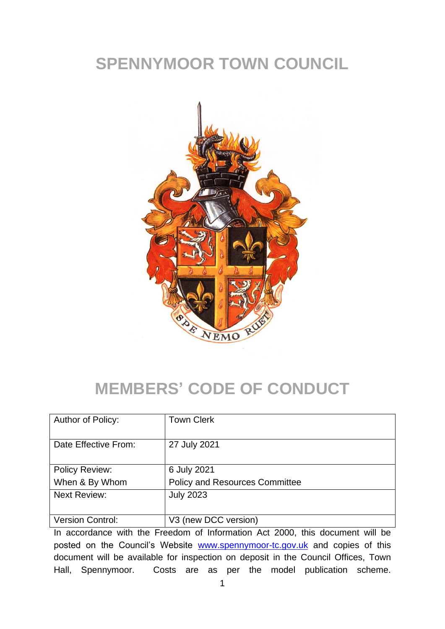## **SPENNYMOOR TOWN COUNCIL**



# **MEMBERS' CODE OF CONDUCT**

| Author of Policy:     | <b>Town Clerk</b>                     |
|-----------------------|---------------------------------------|
| Date Effective From:  | 27 July 2021                          |
| <b>Policy Review:</b> | 6 July 2021                           |
| When & By Whom        | <b>Policy and Resources Committee</b> |
| <b>Next Review:</b>   | <b>July 2023</b>                      |
| Version Control:      | V3 (new DCC version)                  |

In accordance with the Freedom of Information Act 2000, this document will be posted on the Council's Website [www.spennymoor-tc.gov.uk](http://www.spennymoor-tc.gov.uk/) and copies of this document will be available for inspection on deposit in the Council Offices, Town Hall, Spennymoor. Costs are as per the model publication scheme.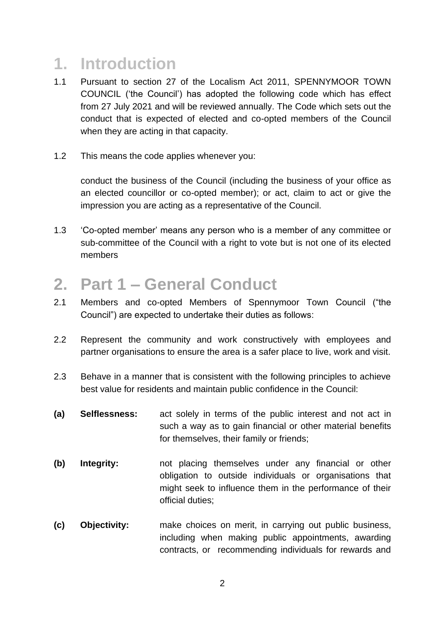### **1. Introduction**

- 1.1 Pursuant to section 27 of the Localism Act 2011, SPENNYMOOR TOWN COUNCIL ('the Council') has adopted the following code which has effect from 27 July 2021 and will be reviewed annually. The Code which sets out the conduct that is expected of elected and co-opted members of the Council when they are acting in that capacity.
- 1.2 This means the code applies whenever you:

conduct the business of the Council (including the business of your office as an elected councillor or co-opted member); or act, claim to act or give the impression you are acting as a representative of the Council.

1.3 'Co-opted member' means any person who is a member of any committee or sub-committee of the Council with a right to vote but is not one of its elected members

#### **2. Part 1 – General Conduct**

- 2.1 Members and co-opted Members of Spennymoor Town Council ("the Council") are expected to undertake their duties as follows:
- 2.2 Represent the community and work constructively with employees and partner organisations to ensure the area is a safer place to live, work and visit.
- 2.3 Behave in a manner that is consistent with the following principles to achieve best value for residents and maintain public confidence in the Council:
- **(a) Selflessness:** act solely in terms of the public interest and not act in such a way as to gain financial or other material benefits for themselves, their family or friends;
- **(b) Integrity:** not placing themselves under any financial or other obligation to outside individuals or organisations that might seek to influence them in the performance of their official duties;
- **(c) Objectivity:** make choices on merit, in carrying out public business, including when making public appointments, awarding contracts, or recommending individuals for rewards and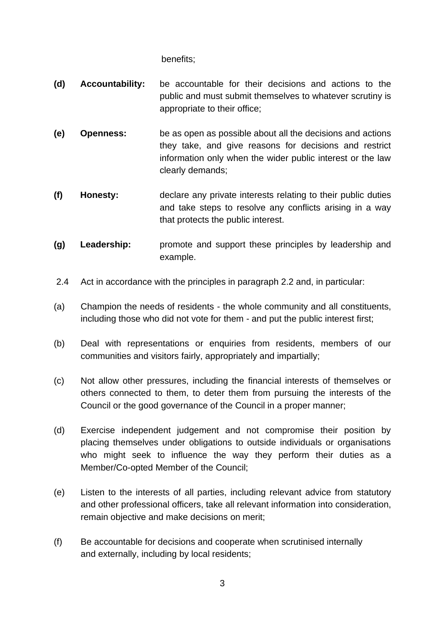benefits;

- **(d) Accountability:** be accountable for their decisions and actions to the public and must submit themselves to whatever scrutiny is appropriate to their office;
- **(e) Openness:** be as open as possible about all the decisions and actions they take, and give reasons for decisions and restrict information only when the wider public interest or the law clearly demands;
- **(f) Honesty:** declare any private interests relating to their public duties and take steps to resolve any conflicts arising in a way that protects the public interest.
- **(g) Leadership:** promote and support these principles by leadership and example.
- 2.4 Act in accordance with the principles in paragraph 2.2 and, in particular:
- (a) Champion the needs of residents the whole community and all constituents, including those who did not vote for them - and put the public interest first;
- (b) Deal with representations or enquiries from residents, members of our communities and visitors fairly, appropriately and impartially;
- (c) Not allow other pressures, including the financial interests of themselves or others connected to them, to deter them from pursuing the interests of the Council or the good governance of the Council in a proper manner;
- (d) Exercise independent judgement and not compromise their position by placing themselves under obligations to outside individuals or organisations who might seek to influence the way they perform their duties as a Member/Co-opted Member of the Council;
- (e) Listen to the interests of all parties, including relevant advice from statutory and other professional officers, take all relevant information into consideration, remain objective and make decisions on merit;
- (f) Be accountable for decisions and cooperate when scrutinised internally and externally, including by local residents;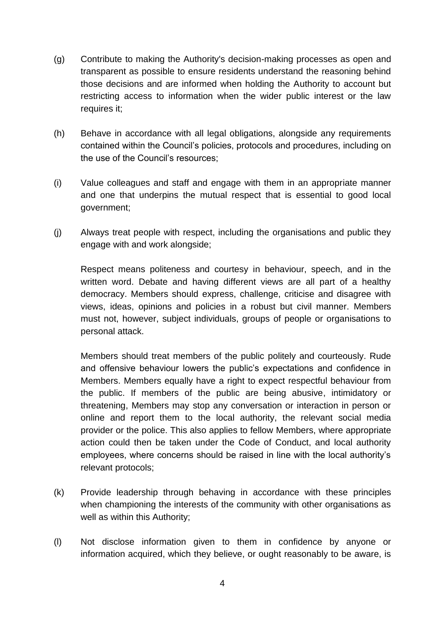- (g) Contribute to making the Authority's decision-making processes as open and transparent as possible to ensure residents understand the reasoning behind those decisions and are informed when holding the Authority to account but restricting access to information when the wider public interest or the law requires it;
- (h) Behave in accordance with all legal obligations, alongside any requirements contained within the Council's policies, protocols and procedures, including on the use of the Council's resources;
- (i) Value colleagues and staff and engage with them in an appropriate manner and one that underpins the mutual respect that is essential to good local government;
- (j) Always treat people with respect, including the organisations and public they engage with and work alongside;

Respect means politeness and courtesy in behaviour, speech, and in the written word. Debate and having different views are all part of a healthy democracy. Members should express, challenge, criticise and disagree with views, ideas, opinions and policies in a robust but civil manner. Members must not, however, subject individuals, groups of people or organisations to personal attack.

Members should treat members of the public politely and courteously. Rude and offensive behaviour lowers the public's expectations and confidence in Members. Members equally have a right to expect respectful behaviour from the public. If members of the public are being abusive, intimidatory or threatening, Members may stop any conversation or interaction in person or online and report them to the local authority, the relevant social media provider or the police. This also applies to fellow Members, where appropriate action could then be taken under the Code of Conduct, and local authority employees, where concerns should be raised in line with the local authority's relevant protocols;

- (k) Provide leadership through behaving in accordance with these principles when championing the interests of the community with other organisations as well as within this Authority;
- (l) Not disclose information given to them in confidence by anyone or information acquired, which they believe, or ought reasonably to be aware, is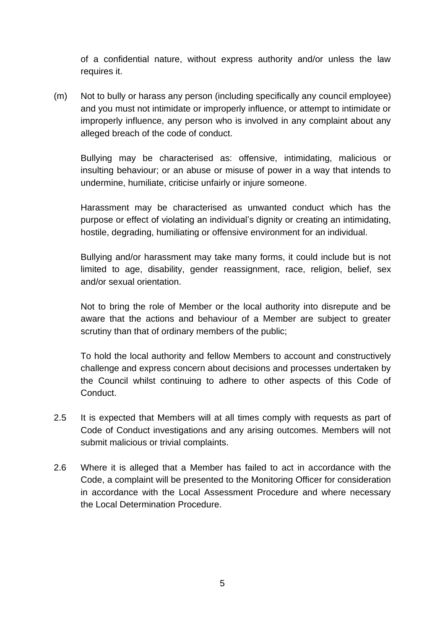of a confidential nature, without express authority and/or unless the law requires it.

(m) Not to bully or harass any person (including specifically any council employee) and you must not intimidate or improperly influence, or attempt to intimidate or improperly influence, any person who is involved in any complaint about any alleged breach of the code of conduct.

Bullying may be characterised as: offensive, intimidating, malicious or insulting behaviour; or an abuse or misuse of power in a way that intends to undermine, humiliate, criticise unfairly or injure someone.

Harassment may be characterised as unwanted conduct which has the purpose or effect of violating an individual's dignity or creating an intimidating, hostile, degrading, humiliating or offensive environment for an individual.

Bullying and/or harassment may take many forms, it could include but is not limited to age, disability, gender reassignment, race, religion, belief, sex and/or sexual orientation.

Not to bring the role of Member or the local authority into disrepute and be aware that the actions and behaviour of a Member are subject to greater scrutiny than that of ordinary members of the public;

To hold the local authority and fellow Members to account and constructively challenge and express concern about decisions and processes undertaken by the Council whilst continuing to adhere to other aspects of this Code of Conduct.

- 2.5 It is expected that Members will at all times comply with requests as part of Code of Conduct investigations and any arising outcomes. Members will not submit malicious or trivial complaints.
- 2.6 Where it is alleged that a Member has failed to act in accordance with the Code, a complaint will be presented to the Monitoring Officer for consideration in accordance with the Local Assessment Procedure and where necessary the Local Determination Procedure.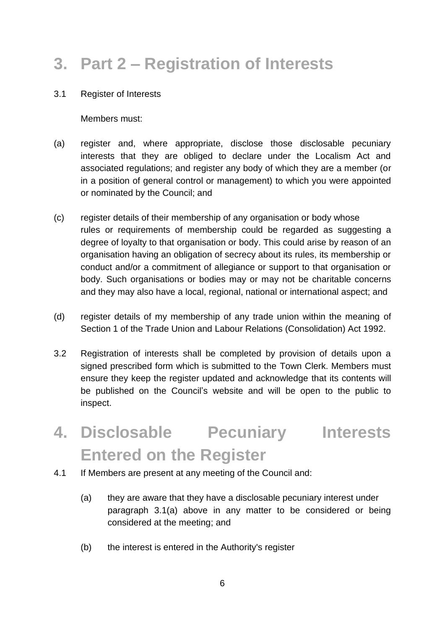## **3. Part 2 – Registration of Interests**

3.1 Register of Interests

Members must:

- (a) register and, where appropriate, disclose those disclosable pecuniary interests that they are obliged to declare under the Localism Act and associated regulations; and register any body of which they are a member (or in a position of general control or management) to which you were appointed or nominated by the Council; and
- (c) register details of their membership of any organisation or body whose rules or requirements of membership could be regarded as suggesting a degree of loyalty to that organisation or body. This could arise by reason of an organisation having an obligation of secrecy about its rules, its membership or conduct and/or a commitment of allegiance or support to that organisation or body. Such organisations or bodies may or may not be charitable concerns and they may also have a local, regional, national or international aspect; and
- (d) register details of my membership of any trade union within the meaning of Section 1 of the Trade Union and Labour Relations (Consolidation) Act 1992.
- 3.2 Registration of interests shall be completed by provision of details upon a signed prescribed form which is submitted to the Town Clerk. Members must ensure they keep the register updated and acknowledge that its contents will be published on the Council's website and will be open to the public to inspect.
- **4. Disclosable Pecuniary Interests Entered on the Register**
- 4.1 If Members are present at any meeting of the Council and:
	- (a) they are aware that they have a disclosable pecuniary interest under paragraph 3.1(a) above in any matter to be considered or being considered at the meeting; and
	- (b) the interest is entered in the Authority's register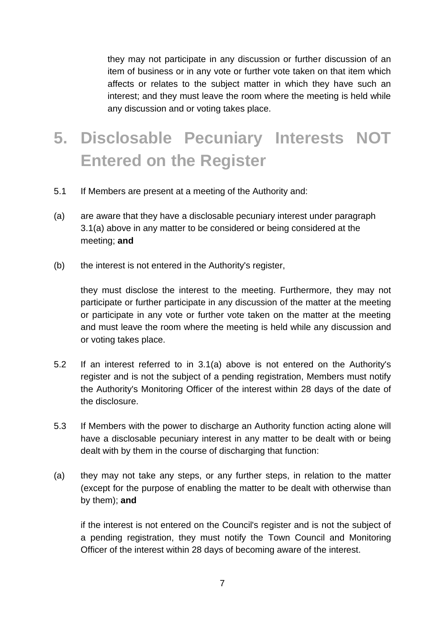they may not participate in any discussion or further discussion of an item of business or in any vote or further vote taken on that item which affects or relates to the subject matter in which they have such an interest; and they must leave the room where the meeting is held while any discussion and or voting takes place.

# **5. Disclosable Pecuniary Interests NOT Entered on the Register**

- 5.1 If Members are present at a meeting of the Authority and:
- (a) are aware that they have a disclosable pecuniary interest under paragraph 3.1(a) above in any matter to be considered or being considered at the meeting; **and**
- (b) the interest is not entered in the Authority's register,

they must disclose the interest to the meeting. Furthermore, they may not participate or further participate in any discussion of the matter at the meeting or participate in any vote or further vote taken on the matter at the meeting and must leave the room where the meeting is held while any discussion and or voting takes place.

- 5.2 If an interest referred to in 3.1(a) above is not entered on the Authority's register and is not the subject of a pending registration, Members must notify the Authority's Monitoring Officer of the interest within 28 days of the date of the disclosure.
- 5.3 If Members with the power to discharge an Authority function acting alone will have a disclosable pecuniary interest in any matter to be dealt with or being dealt with by them in the course of discharging that function:
- (a) they may not take any steps, or any further steps, in relation to the matter (except for the purpose of enabling the matter to be dealt with otherwise than by them); **and**

if the interest is not entered on the Council's register and is not the subject of a pending registration, they must notify the Town Council and Monitoring Officer of the interest within 28 days of becoming aware of the interest.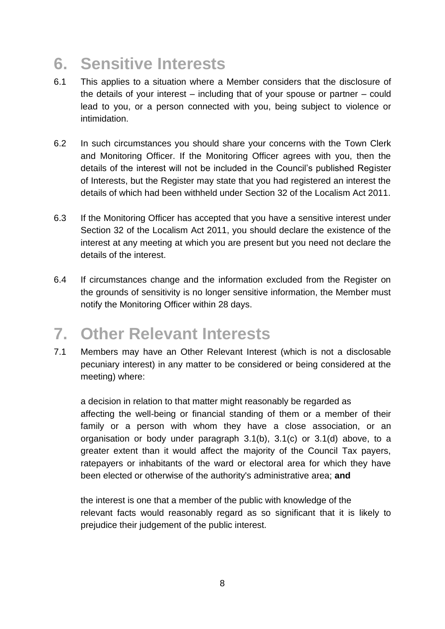#### **6. Sensitive Interests**

- 6.1 This applies to a situation where a Member considers that the disclosure of the details of your interest – including that of your spouse or partner – could lead to you, or a person connected with you, being subject to violence or intimidation.
- 6.2 In such circumstances you should share your concerns with the Town Clerk and Monitoring Officer. If the Monitoring Officer agrees with you, then the details of the interest will not be included in the Council's published Register of Interests, but the Register may state that you had registered an interest the details of which had been withheld under Section 32 of the Localism Act 2011.
- 6.3 If the Monitoring Officer has accepted that you have a sensitive interest under Section 32 of the Localism Act 2011, you should declare the existence of the interest at any meeting at which you are present but you need not declare the details of the interest.
- 6.4 If circumstances change and the information excluded from the Register on the grounds of sensitivity is no longer sensitive information, the Member must notify the Monitoring Officer within 28 days.

#### **7. Other Relevant Interests**

7.1 Members may have an Other Relevant Interest (which is not a disclosable pecuniary interest) in any matter to be considered or being considered at the meeting) where:

a decision in relation to that matter might reasonably be regarded as affecting the well-being or financial standing of them or a member of their family or a person with whom they have a close association, or an organisation or body under paragraph 3.1(b), 3.1(c) or 3.1(d) above, to a greater extent than it would affect the majority of the Council Tax payers, ratepayers or inhabitants of the ward or electoral area for which they have been elected or otherwise of the authority's administrative area; **and**

the interest is one that a member of the public with knowledge of the relevant facts would reasonably regard as so significant that it is likely to prejudice their judgement of the public interest.